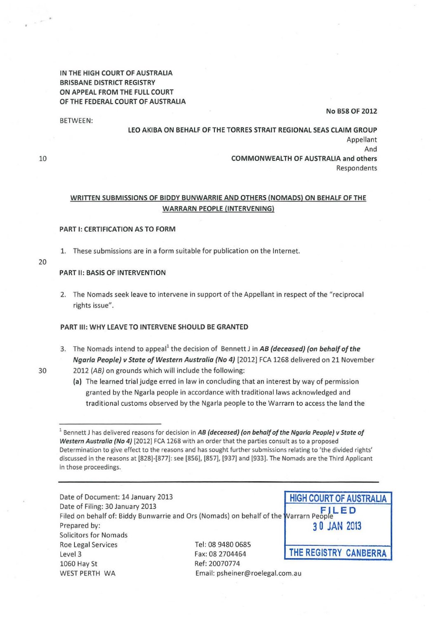## IN THE HIGH COURT OF AUSTRALIA BRISBANE DISTRICT REGISTRY ON APPEAL FROM THE FULL COURT OF THE FEDERAL COURT OF AUSTRALIA

#### BETWEEN:

## No B58 OF 2012

LEO AKIBA ON BEHALF OF THE TORRES STRAIT REGIONAL SEAS CLAIM GROUP Appellant And COMMONWEALTH OF AUSTRALIA and others Respondents

## WRITTEN SUBMISSIONS OF BIDDY BUNWARRIE AND OTHERS (NOMADS) ON BEHALF OF THE WARRARN PEOPLE (INTERVENING)

#### PART 1: CERTIFICATION AS TO FORM

- 1. These submissions are in a form suitable for publication on the Internet.
- 20

10

#### PART II: BASIS OF INTERVENTION

2. The Nomads seek leave to intervene in support of the Appellant in respect of the "reciprocal rights issue".

## PART Ill: WHY LEAVE TO INTERVENE SHOULD BE GRANTED

- 3. The Nomads intend to appeal<sup>1</sup> the decision of Bennett J in AB (deceased) (on behalf of the Ngarla People) v State of Western Australia (No 4) [2012] FCA 1268 delivered on 21 November
- 30 2012 (AB) on grounds which will include the following:
	- (a) The learned trial judge erred in law in concluding that an interest by way of permission granted by the Ngarla people in accordance with traditional laws acknowledged and traditional customs observed by the Ngarla people to the Warrarn to access the land the

| Date of Document: 14 January 2013                                                                                                |                                 | <b>HIGH COURT OF AUSTRALIA</b> |
|----------------------------------------------------------------------------------------------------------------------------------|---------------------------------|--------------------------------|
| Date of Filing: 30 January 2013<br>FILED<br>Filed on behalf of: Biddy Bunwarrie and Ors (Nomads) on behalf of the Warrarn People |                                 |                                |
|                                                                                                                                  |                                 |                                |
| Prepared by:                                                                                                                     |                                 | 30 JAN 2013                    |
| <b>Solicitors for Nomads</b>                                                                                                     |                                 |                                |
| Roe Legal Services                                                                                                               | Tel: 08 9480 0685               |                                |
| Level 3                                                                                                                          | Fax: 08 2704464                 | THE REGISTRY CANBERRA          |
| 1060 Hay St                                                                                                                      | Ref: 20070774                   |                                |
| <b>WEST PERTH WA</b>                                                                                                             | Email: psheiner@roelegal.com.au |                                |

 $1$  Bennett J has delivered reasons for decision in AB (deceased) (on behalf of the Ngarla People) v State of Western Australia (No 4) [2012] FCA 1268 with an order that the parties consult as to a proposed Determination to give effect to the reasons and has sought further submissions relating to 'the divided rights' discussed in the reasons at [828]-[877]: see [856], [857], [937] and [933]. The Nomads are the Third Applicant in those proceedings.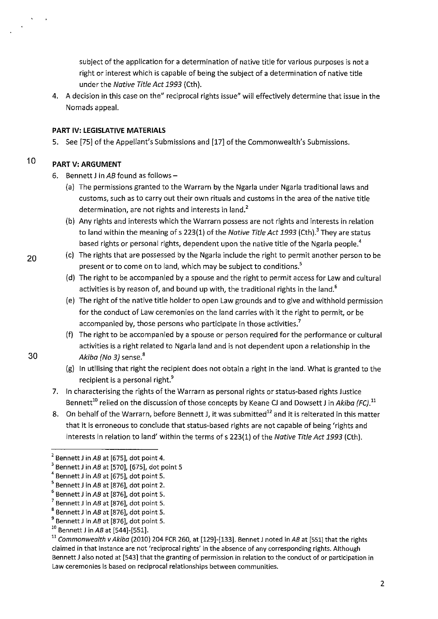subject of the application for a determination of native title for various purposes is not a right or interest which is capable of being the subject of a determination of native title under the Native Title Act 1993 (Cth).

4. A decision in this case on the" reciprocal rights issue" will effectively determine that issue in the Nomads appeal.

# **PART IV: LEGISLATIVE MATERIALS**

5. See [75] of the Appellant's Submissions and [17] of the Commonwealth's Submissions.

#### 10 **PART V: ARGUMENT**

30

6. Bennett J **in** *AB* found as follows-

- (a) The permissions granted to the Warrarn by the Ngarla under Ngarla traditional laws and customs, such as to carry out their own rituals and customs in the area of the native title determination, are not rights and interests in land.<sup>2</sup>
- (b) Any rights and interests which the Warrarn possess are not rights and interests in relation to land within the meaning of s 223(1) of the Native Title Act 1993 (Cth).<sup>3</sup> They are status based rights or personal rights, dependent upon the native title of the Ngarla people.<sup>4</sup>
- 20<sup>(c)</sup> The rights that are possessed by the Ngarla include the right to permit another person to be present or to come on to land, which may be subject to conditions.<sup>5</sup>
	- (d) The right to be accompanied by a spouse and the right to permit access for Law and cultural activities is by reason of, and bound up with, the traditional rights in the land. $<sup>6</sup>$ </sup>
	- (e) The right of the native title holder to open Law grounds and to give and withhold permission for the conduct of Law ceremonies on the land carries with it the right to permit, or be accompanied by, those persons who participate in those activities.<sup>7</sup>
	- (f) The right to be accompanied by a spouse or person required for the performance or cultural activities is a right related to Ngarla land and is not dependent upon a relationship in the Akiba (No 3) sense.<sup>8</sup>
	- (g) In utilising that right the recipient does not obtain a right in the land. What is granted to the recipient is a personal right.<sup>9</sup>
	- 7. In characterising the rights of the Warrarn as personal rights or status-based rights Justice Bennett<sup>10</sup> relied on the discussion of those concepts by Keane CJ and Dowsett J in Akiba (FC).<sup>11</sup>
	- 8. On behalf of the Warrarn, before Bennett J, it was submitted<sup>12</sup> and it is reiterated in this matter that it is erroneous to conclude that status-based rights are not capable of being 'rights and interests in relation to land' within the terms of s 223(1) of the Native Title Act 1993 (Cth).

2

<sup>&</sup>lt;sup>2</sup> Bennett J in AB at [675], dot point 4.<br><sup>3</sup> Bennett J in AB at [570], [675], dot point 5.<br><sup>4</sup> Bennett J in AB at [675], dot point 5.<br><sup>5</sup> Bennett J in AB at [876], dot point 2.

<sup>&</sup>lt;sup>6</sup> Bennett J in AB at [876], dot point 5.<br><sup>7</sup> Bennett J in AB at [876], dot point 5.<br><sup>8</sup> Bennett J in AB at [876], dot point 5.

<sup>&</sup>lt;sup>9</sup> Bennett J in AB at [876], dot point 5.<br><sup>10</sup> Bennett J in AB at [544]-[551].

 $11$  Commonwealth v Akiba (2010) 204 FCR 260, at [129]-[133]. Bennet J noted in AB at [551] that the rights claimed in that instance are not 'reciprocal rights' in the absence of any corresponding rights. Although Bennett **J** also noted at [543] that the granting of permission in relation to the conduct of or participation in **Law ceremonies is based on reciprocal relationships between communities.**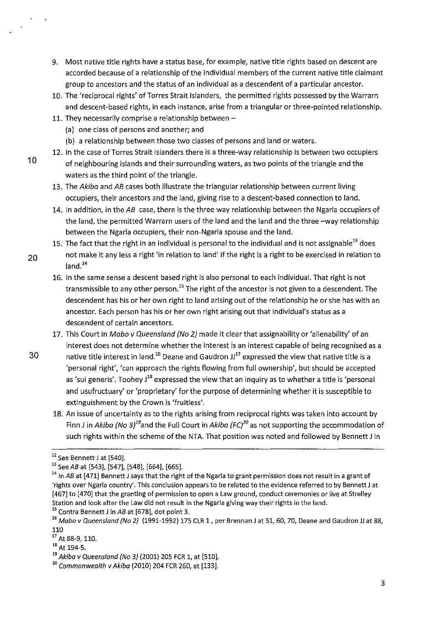- 9. Most native title rights have a status base, for example, native title rights based on descent are accorded because of a relationship of the individual members of the current native title claimant group to ancestors and the status of an individual as a descendent of a particular ancestor.
- 10. The 'reciprocal rights' of Torres Strait Islanders, the permitted rights possessed by the Warrarn and descent-based rights, in each instance, arise from a triangular or three-pointed relationship.
- 11. They necessarily comprise a relationship between -
	- (a) one class of persons and another; and

10

- (b) a relationship between those two classes of persons and land or waters.
- 12. In the case of Torres Strait Islanders there is a three-way relationship is between two occupiers of neighbouring islands and their surrounding waters, as two points of the triangle and the waters as the third point of the triangle.
- 13. The Akiba and AB cases both illustrate the triangular relationship between current living occupiers, their ancestors and the land, giving rise to a descent-based connection to land.
- 14. In addition, in the AB case, there is the three way relationship between the Ngarla occupiers of the land, the permitted Warrarn users of the land and the land and the three -way relationship between the Ngarla occupiers, their non-Ngarla spouse and the land.
- 15. The fact that the right in an individual is personal to the individual and is not assignable<sup>13</sup> does
- 20 not make it any less a right 'in relation to land' if the right is a right to be exercised in relation to  $land.<sup>14</sup>$ 
	- 16. In the same sense a descent based right is also personal to each individual. That right is not transmissible to any other person.<sup>15</sup> The right of the ancestor is not given to a descendent. The descendent has his or her own right to land arising out of the relationship he or she has with an ancestor. Each person has his or her own right arising out that individual's status as a descendent of certain ancestors.
	- 17. This Court in Mabo v Queensland (No 2) made it clear that assignability or 'alienability' of an interest does not determine whether the interest is an interest capable of being recognised as a
- 30 native title interest in land.<sup>16</sup> Deane and Gaudron  $JJ<sup>17</sup>$  expressed the view that native title is a 'personal right', 'can approach the rights flowing from full ownership', but should be accepted as 'sui generis'. Toohey J<sup>18</sup> expressed the view that an inquiry as to whether a title is 'personal and usufructuary' or 'proprietary' for the purpose of determining whether it is susceptible to extinguishment by the Crown is 'fruitless'.
	- 18. An issue of uncertainty as to the rights arising from reciprocal rights was taken into account by Finn J in Akiba (No 3)<sup>19</sup>and the Full Court in Akiba (FC)<sup>20</sup> as not supporting the accommodation of such rights within the scheme of the NTA. That position was noted and followed by Bennett J in

3

<sup>&</sup>lt;sup>12</sup> See Bennett J at [540].<br><sup>13</sup> See AB at [543], [547], [548], [664], [665].<br><sup>14</sup> In AB at [471] Bennett J says that the right of the Ngarla to grant permission does not result in a grant of 'rights over Ngarla country'. This conclusion appears to be related to the evidence referred to by Bennett J at [467] to [470] that the granting of permission to open a Law ground, conduct ceremonies or live at Strelley Station and look after the Law did not result in the Ngarla giving way their rights in the land.<br><sup>15</sup> Contra Bennett J in AB at [678], dot point 3.

 $16$  Mabo v Queensland (No 2) (1991-1992) 175 CLR 1, per Brennan J at 51, 60, 70, Deane and Gaudron JJ at 88, 110<br> $17$  At 88-9, 110.

<sup>&</sup>lt;sup>18</sup> At 194-5.<br><sup>19</sup> Akiba v Queensland (No 3) (2001) 205 FCR 1, at [510].

 $^{20}$  Commonwealth v Akiba (2010) 204 FCR 260, at [133].